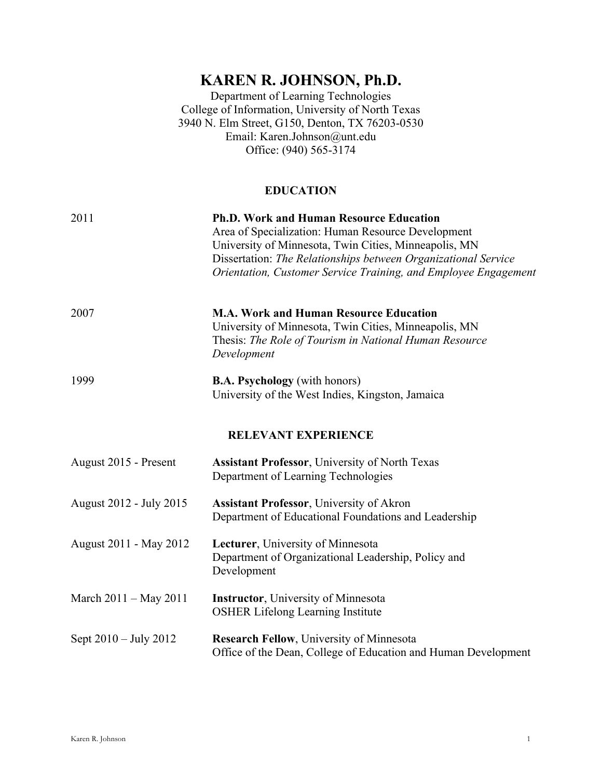# **KAREN R. JOHNSON, Ph.D.**

Department of Learning Technologies College of Information, University of North Texas 3940 N. Elm Street, G150, Denton, TX 76203-0530 Email: Karen.Johnson@unt.edu Office: (940) 565-3174

## **EDUCATION**

| 2011                       | <b>Ph.D. Work and Human Resource Education</b><br>Area of Specialization: Human Resource Development<br>University of Minnesota, Twin Cities, Minneapolis, MN<br>Dissertation: The Relationships between Organizational Service<br>Orientation, Customer Service Training, and Employee Engagement |  |
|----------------------------|----------------------------------------------------------------------------------------------------------------------------------------------------------------------------------------------------------------------------------------------------------------------------------------------------|--|
| 2007                       | <b>M.A. Work and Human Resource Education</b><br>University of Minnesota, Twin Cities, Minneapolis, MN<br>Thesis: The Role of Tourism in National Human Resource<br>Development                                                                                                                    |  |
| 1999                       | <b>B.A. Psychology</b> (with honors)<br>University of the West Indies, Kingston, Jamaica                                                                                                                                                                                                           |  |
| <b>RELEVANT EXPERIENCE</b> |                                                                                                                                                                                                                                                                                                    |  |
| August 2015 - Present      | <b>Assistant Professor</b> , University of North Texas<br>Department of Learning Technologies                                                                                                                                                                                                      |  |
| August 2012 - July 2015    | <b>Assistant Professor</b> , University of Akron<br>Department of Educational Foundations and Leadership                                                                                                                                                                                           |  |
| August 2011 - May 2012     | Lecturer, University of Minnesota<br>Department of Organizational Leadership, Policy and<br>Development                                                                                                                                                                                            |  |
| March 2011 – May 2011      | <b>Instructor</b> , University of Minnesota<br><b>OSHER Lifelong Learning Institute</b>                                                                                                                                                                                                            |  |
| Sept 2010 – July 2012      | <b>Research Fellow, University of Minnesota</b><br>Office of the Dean, College of Education and Human Development                                                                                                                                                                                  |  |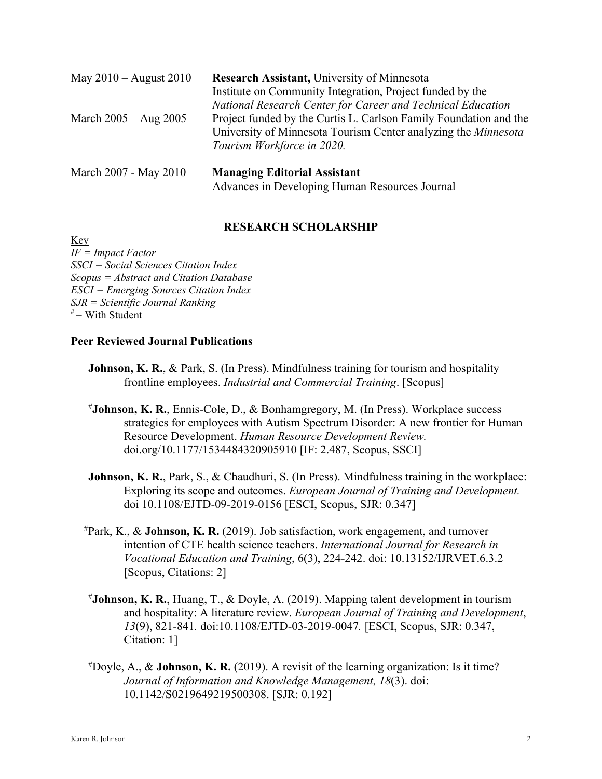| May $2010 -$ August $2010$ | <b>Research Assistant, University of Minnesota</b>                    |
|----------------------------|-----------------------------------------------------------------------|
|                            | Institute on Community Integration, Project funded by the             |
|                            | National Research Center for Career and Technical Education           |
| March $2005 - Aug\ 2005$   | Project funded by the Curtis L. Carlson Family Foundation and the     |
|                            | University of Minnesota Tourism Center analyzing the <i>Minnesota</i> |
|                            | Tourism Workforce in 2020.                                            |
|                            |                                                                       |

| March 2007 - May 2010 | <b>Managing Editorial Assistant</b>            |
|-----------------------|------------------------------------------------|
|                       | Advances in Developing Human Resources Journal |

## **RESEARCH SCHOLARSHIP**

Key *IF = Impact Factor SSCI = Social Sciences Citation Index Scopus = Abstract and Citation Database ESCI = Emerging Sources Citation Index SJR = Scientific Journal Ranking*  $* =$  With Student

#### **Peer Reviewed Journal Publications**

- **Johnson, K. R.**, & Park, S. (In Press). Mindfulness training for tourism and hospitality frontline employees. *Industrial and Commercial Training*. [Scopus]
- # **Johnson, K. R.**, Ennis-Cole, D., & Bonhamgregory, M. (In Press). Workplace success strategies for employees with Autism Spectrum Disorder: A new frontier for Human Resource Development. *Human Resource Development Review.*  doi.org/10.1177/1534484320905910 [IF: 2.487, Scopus, SSCI]
- **Johnson, K. R., Park, S., & Chaudhuri, S. (In Press). Mindfulness training in the workplace:** Exploring its scope and outcomes. *European Journal of Training and Development.*  doi 10.1108/EJTD-09-2019-0156 [ESCI, Scopus, SJR: 0.347]
- # Park, K., & **Johnson, K. R.** (2019). Job satisfaction, work engagement, and turnover intention of CTE health science teachers. *International Journal for Research in Vocational Education and Training*, 6(3), 224-242. doi: 10.13152/IJRVET.6.3.2 [Scopus, Citations: 2]
- # **Johnson, K. R.**, Huang, T., & Doyle, A. (2019). Mapping talent development in tourism and hospitality: A literature review. *European Journal of Training and Development*, *13*(9), 821-841*.* doi:10.1108/EJTD-03-2019-0047*.* [ESCI, Scopus, SJR: 0.347, Citation: 1]
- # Doyle, A., & **Johnson, K. R.** (2019). A revisit of the learning organization: Is it time? *Journal of Information and Knowledge Management, 18*(3). doi: 10.1142/S0219649219500308. [SJR: 0.192]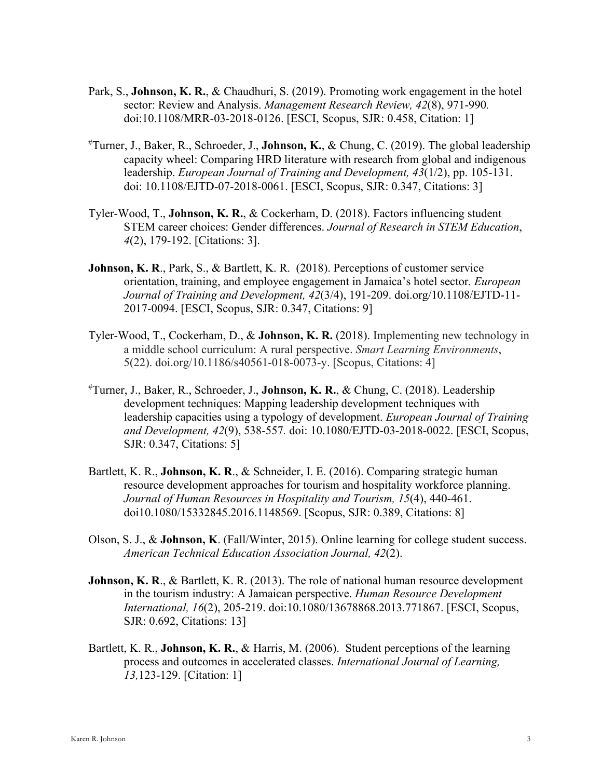- Park, S., **Johnson, K. R.**, & Chaudhuri, S. (2019). Promoting work engagement in the hotel sector: Review and Analysis. *Management Research Review, 42*(8), 971-990*.* doi:10.1108/MRR-03-2018-0126. [ESCI, Scopus, SJR: 0.458, Citation: 1]
- # Turner, J., Baker, R., Schroeder, J., **Johnson, K.**, & Chung, C. (2019). The global leadership capacity wheel: Comparing HRD literature with research from global and indigenous leadership. *European Journal of Training and Development, 43*(1/2), pp. 105-131. doi: 10.1108/EJTD-07-2018-0061. [ESCI, Scopus, SJR: 0.347, Citations: 3]
- Tyler-Wood, T., **Johnson, K. R.**, & Cockerham, D. (2018). Factors influencing student STEM career choices: Gender differences. *Journal of Research in STEM Education*, *4*(2), 179-192. [Citations: 3].
- **Johnson, K. R**., Park, S., & Bartlett, K. R. (2018). Perceptions of customer service orientation, training, and employee engagement in Jamaica's hotel sector*. European Journal of Training and Development, 42*(3/4), 191-209. doi.org/10.1108/EJTD-11- 2017-0094. [ESCI, Scopus, SJR: 0.347, Citations: 9]
- Tyler-Wood, T., Cockerham, D., & **Johnson, K. R.** (2018). Implementing new technology in a middle school curriculum: A rural perspective. *Smart Learning Environments*, 5(22). doi.org/10.1186/s40561-018-0073-y. [Scopus, Citations: 4]
- # Turner, J., Baker, R., Schroeder, J., **Johnson, K. R.**, & Chung, C. (2018). Leadership development techniques: Mapping leadership development techniques with leadership capacities using a typology of development. *European Journal of Training and Development, 42*(9), 538-557*.* doi: 10.1080/EJTD-03-2018-0022. [ESCI, Scopus, SJR: 0.347, Citations: 5]
- Bartlett, K. R., **Johnson, K. R**., & Schneider, I. E. (2016). Comparing strategic human resource development approaches for tourism and hospitality workforce planning. *Journal of Human Resources in Hospitality and Tourism, 15*(4), 440-461. doi10.1080/15332845.2016.1148569. [Scopus, SJR: 0.389, Citations: 8]
- Olson, S. J., & **Johnson, K**. (Fall/Winter, 2015). Online learning for college student success. *American Technical Education Association Journal, 42*(2).
- **Johnson, K. R., & Bartlett, K. R. (2013). The role of national human resource development** in the tourism industry: A Jamaican perspective. *Human Resource Development International, 16*(2), 205-219. doi:10.1080/13678868.2013.771867. [ESCI, Scopus, SJR: 0.692, Citations: 13]
- Bartlett, K. R., **Johnson, K. R.**, & Harris, M. (2006). Student perceptions of the learning process and outcomes in accelerated classes. *International Journal of Learning, 13,*123-129. [Citation: 1]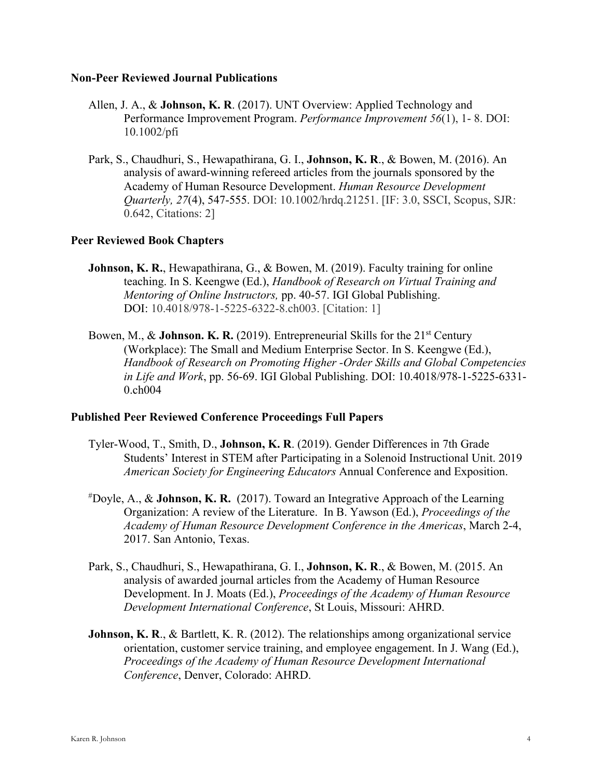#### **Non-Peer Reviewed Journal Publications**

- Allen, J. A., & **Johnson, K. R**. (2017). UNT Overview: Applied Technology and Performance Improvement Program. *Performance Improvement 56*(1), 1- 8. DOI: 10.1002/pfi
- Park, S., Chaudhuri, S., Hewapathirana, G. I., **Johnson, K. R**., & Bowen, M. (2016). An analysis of award-winning refereed articles from the journals sponsored by the Academy of Human Resource Development. *Human Resource Development Quarterly, 27*(4), 547-555. DOI: 10.1002/hrdq.21251. [IF: 3.0, SSCI, Scopus, SJR: 0.642, Citations: 2]

#### **Peer Reviewed Book Chapters**

- **Johnson, K. R., Hewapathirana, G., & Bowen, M. (2019). Faculty training for online** teaching. In S. Keengwe (Ed.), *Handbook of Research on Virtual Training and Mentoring of Online Instructors,* pp. 40-57. IGI Global Publishing. DOI: 10.4018/978-1-5225-6322-8.ch003. [Citation: 1]
- Bowen, M., & **Johnson. K. R.** (2019). Entrepreneurial Skills for the 21<sup>st</sup> Century (Workplace): The Small and Medium Enterprise Sector. In S. Keengwe (Ed.), *Handbook of Research on Promoting Higher -Order Skills and Global Competencies in Life and Work*, pp. 56-69. IGI Global Publishing. DOI: 10.4018/978-1-5225-6331- 0.ch004

#### **Published Peer Reviewed Conference Proceedings Full Papers**

- Tyler-Wood, T., Smith, D., **Johnson, K. R**. (2019). Gender Differences in 7th Grade Students' Interest in STEM after Participating in a Solenoid Instructional Unit. 2019 *American Society for Engineering Educators* Annual Conference and Exposition.
- # Doyle, A., & **Johnson, K. R.** (2017). Toward an Integrative Approach of the Learning Organization: A review of the Literature. In B. Yawson (Ed.), *Proceedings of the Academy of Human Resource Development Conference in the Americas*, March 2-4, 2017. San Antonio, Texas.
- Park, S., Chaudhuri, S., Hewapathirana, G. I., **Johnson, K. R**., & Bowen, M. (2015. An analysis of awarded journal articles from the Academy of Human Resource Development. In J. Moats (Ed.), *Proceedings of the Academy of Human Resource Development International Conference*, St Louis, Missouri: AHRD.
- **Johnson, K. R., & Bartlett, K. R. (2012). The relationships among organizational service** orientation, customer service training, and employee engagement. In J. Wang (Ed.), *Proceedings of the Academy of Human Resource Development International Conference*, Denver, Colorado: AHRD.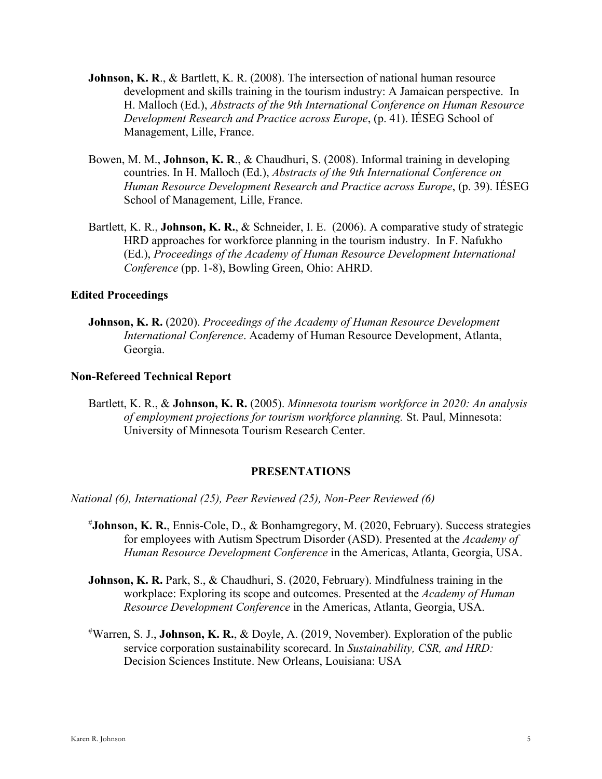- **Johnson, K. R., & Bartlett, K. R. (2008). The intersection of national human resource** development and skills training in the tourism industry: A Jamaican perspective. In H. Malloch (Ed.), *Abstracts of the 9th International Conference on Human Resource Development Research and Practice across Europe*, (p. 41). IÉSEG School of Management, Lille, France.
- Bowen, M. M., **Johnson, K. R**., & Chaudhuri, S. (2008). Informal training in developing countries. In H. Malloch (Ed.), *Abstracts of the 9th International Conference on Human Resource Development Research and Practice across Europe*, (p. 39). IÉSEG School of Management, Lille, France.
- Bartlett, K. R., **Johnson, K. R.**, & Schneider, I. E. (2006). A comparative study of strategic HRD approaches for workforce planning in the tourism industry.In F. Nafukho (Ed.), *Proceedings of the Academy of Human Resource Development International Conference* (pp. 1-8), Bowling Green, Ohio: AHRD.

#### **Edited Proceedings**

**Johnson, K. R.** (2020). *Proceedings of the Academy of Human Resource Development International Conference*. Academy of Human Resource Development, Atlanta, Georgia.

#### **Non-Refereed Technical Report**

Bartlett, K. R., & **Johnson, K. R.** (2005). *Minnesota tourism workforce in 2020: An analysis of employment projections for tourism workforce planning.* St. Paul, Minnesota: University of Minnesota Tourism Research Center.

#### **PRESENTATIONS**

*National (6), International (25), Peer Reviewed (25), Non-Peer Reviewed (6)*

- # **Johnson, K. R.**, Ennis-Cole, D., & Bonhamgregory, M. (2020, February). Success strategies for employees with Autism Spectrum Disorder (ASD). Presented at the *Academy of Human Resource Development Conference* in the Americas, Atlanta, Georgia, USA.
- **Johnson, K. R.** Park, S., & Chaudhuri, S. (2020, February). Mindfulness training in the workplace: Exploring its scope and outcomes. Presented at the *Academy of Human Resource Development Conference* in the Americas, Atlanta, Georgia, USA.
- # Warren, S. J., **Johnson, K. R.**, & Doyle, A. (2019, November). Exploration of the public service corporation sustainability scorecard. In *Sustainability, CSR, and HRD:*  Decision Sciences Institute. New Orleans, Louisiana: USA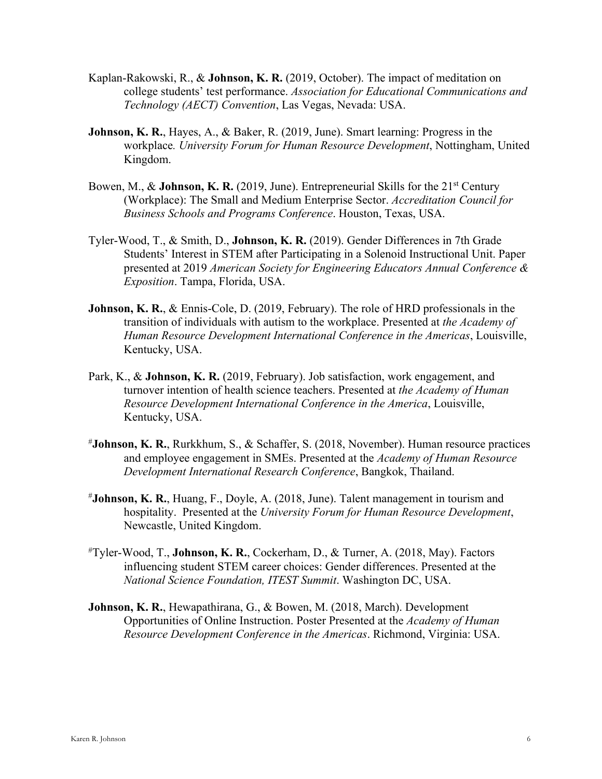- Kaplan-Rakowski, R., & **Johnson, K. R.** (2019, October). The impact of meditation on college students' test performance. *Association for Educational Communications and Technology (AECT) Convention*, Las Vegas, Nevada: USA.
- **Johnson, K. R.**, Hayes, A., & Baker, R. (2019, June). Smart learning: Progress in the workplace*. University Forum for Human Resource Development*, Nottingham, United Kingdom.
- Bowen, M., & **Johnson, K. R.** (2019, June). Entrepreneurial Skills for the 21<sup>st</sup> Century (Workplace): The Small and Medium Enterprise Sector. *Accreditation Council for Business Schools and Programs Conference*. Houston, Texas, USA.
- Tyler-Wood, T., & Smith, D., **Johnson, K. R.** (2019). Gender Differences in 7th Grade Students' Interest in STEM after Participating in a Solenoid Instructional Unit. Paper presented at 2019 *American Society for Engineering Educators Annual Conference & Exposition*. Tampa, Florida, USA.
- **Johnson, K. R.**, & Ennis-Cole, D. (2019, February). The role of HRD professionals in the transition of individuals with autism to the workplace. Presented at *the Academy of Human Resource Development International Conference in the Americas*, Louisville, Kentucky, USA.
- Park, K., & **Johnson, K. R.** (2019, February). Job satisfaction, work engagement, and turnover intention of health science teachers. Presented at *the Academy of Human Resource Development International Conference in the America*, Louisville, Kentucky, USA.
- # **Johnson, K. R.**, Rurkkhum, S., & Schaffer, S. (2018, November). Human resource practices and employee engagement in SMEs. Presented at the *Academy of Human Resource Development International Research Conference*, Bangkok, Thailand.
- # **Johnson, K. R.**, Huang, F., Doyle, A. (2018, June). Talent management in tourism and hospitality. Presented at the *University Forum for Human Resource Development*, Newcastle, United Kingdom.
- # Tyler-Wood, T., **Johnson, K. R.**, Cockerham, D., & Turner, A. (2018, May). Factors influencing student STEM career choices: Gender differences. Presented at the *National Science Foundation, ITEST Summit*. Washington DC, USA.
- **Johnson, K. R.**, Hewapathirana, G., & Bowen, M. (2018, March). Development Opportunities of Online Instruction. Poster Presented at the *Academy of Human Resource Development Conference in the Americas*. Richmond, Virginia: USA.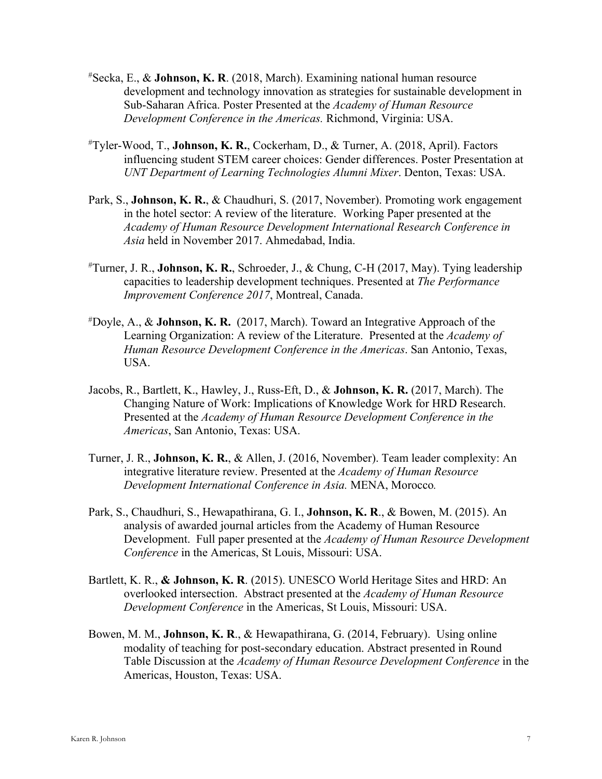- # Secka, E., & **Johnson, K. R**. (2018, March). Examining national human resource development and technology innovation as strategies for sustainable development in Sub-Saharan Africa. Poster Presented at the *Academy of Human Resource Development Conference in the Americas.* Richmond, Virginia: USA.
- # Tyler-Wood, T., **Johnson, K. R.**, Cockerham, D., & Turner, A. (2018, April). Factors influencing student STEM career choices: Gender differences. Poster Presentation at *UNT Department of Learning Technologies Alumni Mixer*. Denton, Texas: USA.
- Park, S., **Johnson, K. R.**, & Chaudhuri, S. (2017, November). Promoting work engagement in the hotel sector: A review of the literature. Working Paper presented at the *Academy of Human Resource Development International Research Conference in Asia* held in November 2017. Ahmedabad, India.
- # Turner, J. R., **Johnson, K. R.**, Schroeder, J., & Chung, C-H (2017, May). Tying leadership capacities to leadership development techniques. Presented at *The Performance Improvement Conference 2017*, Montreal, Canada.
- # Doyle, A., & **Johnson, K. R.** (2017, March). Toward an Integrative Approach of the Learning Organization: A review of the Literature. Presented at the *Academy of Human Resource Development Conference in the Americas*. San Antonio, Texas, USA.
- Jacobs, R., Bartlett, K., Hawley, J., Russ-Eft, D., & **Johnson, K. R.** (2017, March). The Changing Nature of Work: Implications of Knowledge Work for HRD Research. Presented at the *Academy of Human Resource Development Conference in the Americas*, San Antonio, Texas: USA.
- Turner, J. R., **Johnson, K. R.**, & Allen, J. (2016, November). Team leader complexity: An integrative literature review. Presented at the *Academy of Human Resource Development International Conference in Asia.* MENA, Morocco*.*
- Park, S., Chaudhuri, S., Hewapathirana, G. I., **Johnson, K. R**., & Bowen, M. (2015). An analysis of awarded journal articles from the Academy of Human Resource Development. Full paper presented at the *Academy of Human Resource Development Conference* in the Americas, St Louis, Missouri: USA.
- Bartlett, K. R., **& Johnson, K. R**. (2015). UNESCO World Heritage Sites and HRD: An overlooked intersection. Abstract presented at the *Academy of Human Resource Development Conference* in the Americas, St Louis, Missouri: USA.
- Bowen, M. M., **Johnson, K. R**., & Hewapathirana, G. (2014, February). Using online modality of teaching for post-secondary education. Abstract presented in Round Table Discussion at the *Academy of Human Resource Development Conference* in the Americas, Houston, Texas: USA.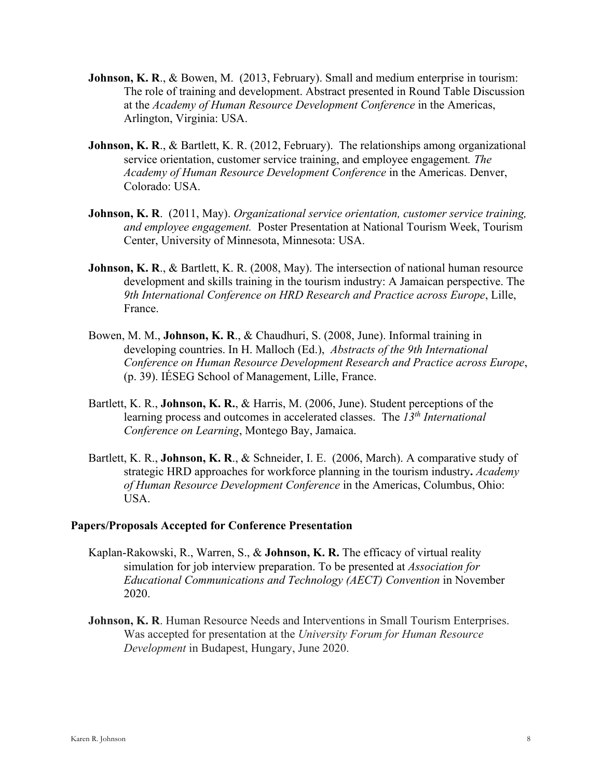- **Johnson, K. R., & Bowen, M. (2013, February). Small and medium enterprise in tourism:** The role of training and development. Abstract presented in Round Table Discussion at the *Academy of Human Resource Development Conference* in the Americas, Arlington, Virginia: USA.
- Johnson, K. R., & Bartlett, K. R. (2012, February). The relationships among organizational service orientation, customer service training, and employee engagement*. The Academy of Human Resource Development Conference* in the Americas. Denver, Colorado: USA.
- **Johnson, K. R**. (2011, May). *Organizational service orientation, customer service training, and employee engagement.* Poster Presentation at National Tourism Week, Tourism Center, University of Minnesota, Minnesota: USA.
- **Johnson, K. R., & Bartlett, K. R. (2008, May). The intersection of national human resource** development and skills training in the tourism industry: A Jamaican perspective. The *9th International Conference on HRD Research and Practice across Europe*, Lille, France.
- Bowen, M. M., **Johnson, K. R**., & Chaudhuri, S. (2008, June). Informal training in developing countries. In H. Malloch (Ed.), *Abstracts of the 9th International Conference on Human Resource Development Research and Practice across Europe*, (p. 39). IÉSEG School of Management, Lille, France.
- Bartlett, K. R., **Johnson, K. R.**, & Harris, M. (2006, June). Student perceptions of the learning process and outcomes in accelerated classes. The *13th International Conference on Learning*, Montego Bay, Jamaica.
- Bartlett, K. R., **Johnson, K. R**., & Schneider, I. E. (2006, March). A comparative study of strategic HRD approaches for workforce planning in the tourism industry**.** *Academy of Human Resource Development Conference* in the Americas, Columbus, Ohio: USA.

#### **Papers/Proposals Accepted for Conference Presentation**

- Kaplan-Rakowski, R., Warren, S., & **Johnson, K. R.** The efficacy of virtual reality simulation for job interview preparation. To be presented at *Association for Educational Communications and Technology (AECT) Convention* in November 2020.
- **Johnson, K. R.** Human Resource Needs and Interventions in Small Tourism Enterprises. Was accepted for presentation at the *University Forum for Human Resource Development* in Budapest, Hungary, June 2020.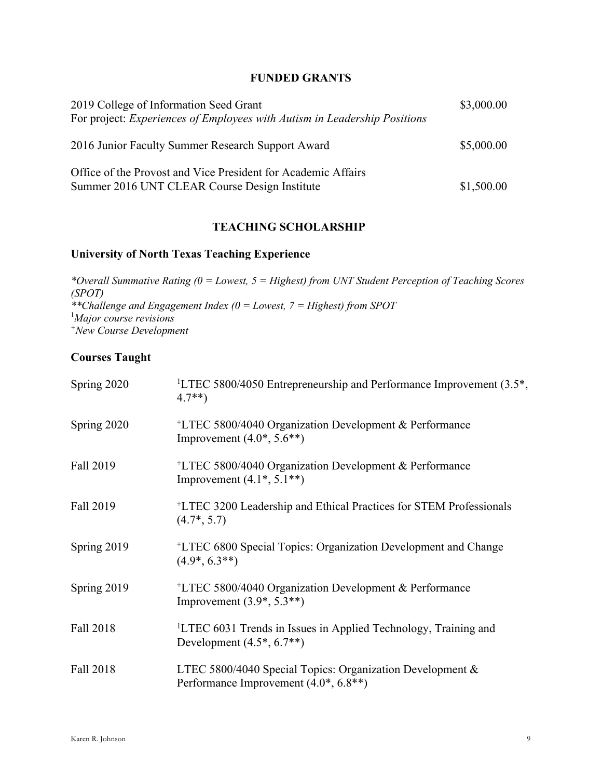# **FUNDED GRANTS**

| 2019 College of Information Seed Grant<br>For project: Experiences of Employees with Autism in Leadership Positions | \$3,000.00 |
|---------------------------------------------------------------------------------------------------------------------|------------|
| 2016 Junior Faculty Summer Research Support Award                                                                   | \$5,000.00 |
| Office of the Provost and Vice President for Academic Affairs<br>Summer 2016 UNT CLEAR Course Design Institute      | \$1,500.00 |

## **TEACHING SCHOLARSHIP**

## **University of North Texas Teaching Experience**

*\*Overall Summative Rating (0 = Lowest, 5 = Highest) from UNT Student Perception of Teaching Scores (SPOT) \*\*Challenge and Engagement Index (0 = Lowest, 7 = Highest) from SPOT* 1 *Major course revisions +New Course Development*

# **Courses Taught**

| Spring 2020 | <sup>1</sup> LTEC 5800/4050 Entrepreneurship and Performance Improvement $(3.5^*,$<br>$4.7**$                  |
|-------------|----------------------------------------------------------------------------------------------------------------|
| Spring 2020 | <sup>+</sup> LTEC 5800/4040 Organization Development & Performance<br>Improvement $(4.0^*, 5.6^{**})$          |
| Fall 2019   | <sup>+</sup> LTEC 5800/4040 Organization Development & Performance<br>Improvement $(4.1^*, 5.1^{**})$          |
| Fall 2019   | <sup>+</sup> LTEC 3200 Leadership and Ethical Practices for STEM Professionals<br>$(4.7*, 5.7)$                |
| Spring 2019 | <sup>+</sup> LTEC 6800 Special Topics: Organization Development and Change<br>$(4.9*, 6.3**)$                  |
| Spring 2019 | <sup>+</sup> LTEC 5800/4040 Organization Development & Performance<br>Improvement $(3.9^*, 5.3^{**})$          |
| Fall 2018   | <sup>1</sup> LTEC 6031 Trends in Issues in Applied Technology, Training and<br>Development $(4.5^*, 6.7^{**})$ |
| Fall 2018   | LTEC 5800/4040 Special Topics: Organization Development &<br>Performance Improvement (4.0*, 6.8**)             |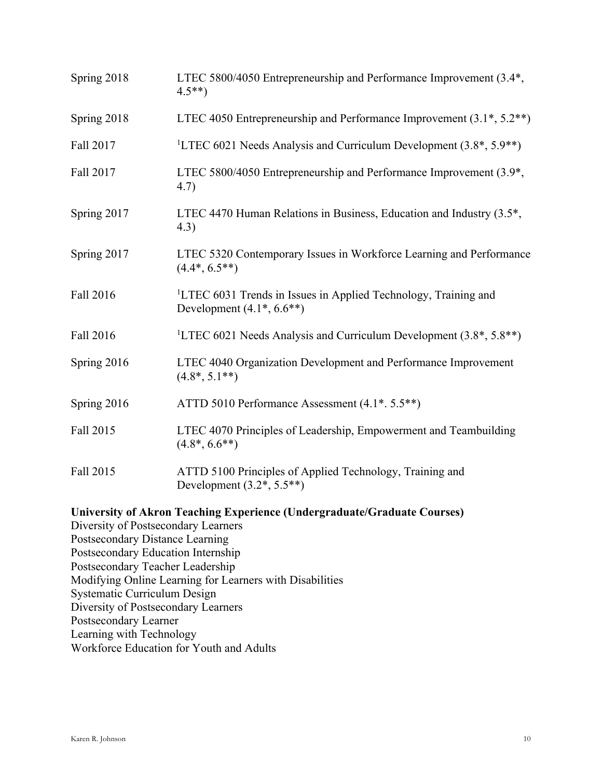| LTEC 5800/4050 Entrepreneurship and Performance Improvement (3.4*,<br>$4.5**$                                  |
|----------------------------------------------------------------------------------------------------------------|
| LTEC 4050 Entrepreneurship and Performance Improvement $(3.1^*, 5.2^{**})$                                     |
| <sup>1</sup> LTEC 6021 Needs Analysis and Curriculum Development $(3.8^*, 5.9^{**})$                           |
| LTEC 5800/4050 Entrepreneurship and Performance Improvement (3.9 <sup>*</sup> ,<br>4.7)                        |
| LTEC 4470 Human Relations in Business, Education and Industry (3.5 <sup>*</sup> ,<br>(4.3)                     |
| LTEC 5320 Contemporary Issues in Workforce Learning and Performance<br>$(4.4^*, 6.5^{**})$                     |
| <sup>1</sup> LTEC 6031 Trends in Issues in Applied Technology, Training and<br>Development $(4.1^*, 6.6^{**})$ |
| <sup>1</sup> LTEC 6021 Needs Analysis and Curriculum Development $(3.8^*, 5.8^{**})$                           |
| LTEC 4040 Organization Development and Performance Improvement<br>$(4.8^*, 5.1^{**})$                          |
| ATTD 5010 Performance Assessment (4.1*. 5.5**)                                                                 |
| LTEC 4070 Principles of Leadership, Empowerment and Teambuilding<br>$(4.8^*, 6.6^{**})$                        |
| ATTD 5100 Principles of Applied Technology, Training and<br>Development $(3.2^*, 5.5^{**})$                    |
|                                                                                                                |

**University of Akron Teaching Experience (Undergraduate/Graduate Courses)** Diversity of Postsecondary Learners Postsecondary Distance Learning Postsecondary Education Internship Postsecondary Teacher Leadership Modifying Online Learning for Learners with Disabilities Systematic Curriculum Design Diversity of Postsecondary Learners Postsecondary Learner Learning with Technology Workforce Education for Youth and Adults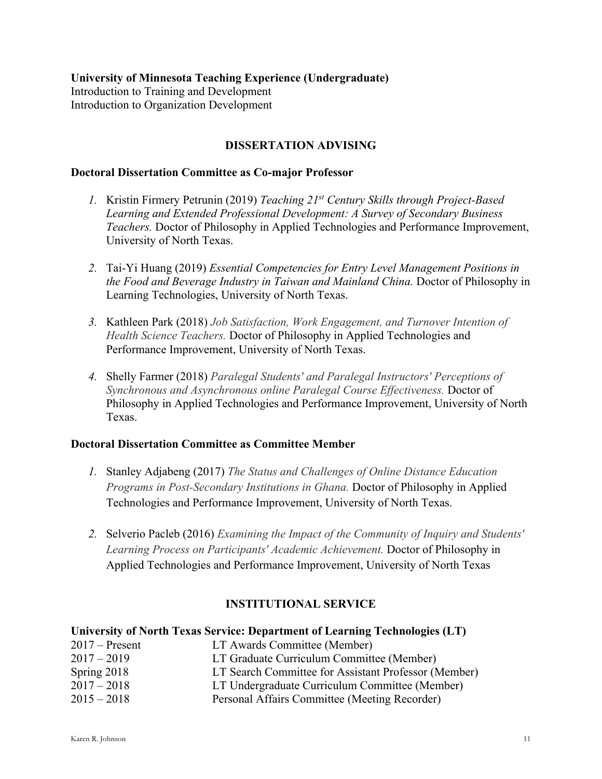#### **University of Minnesota Teaching Experience (Undergraduate)**

Introduction to Training and Development Introduction to Organization Development

## **DISSERTATION ADVISING**

#### **Doctoral Dissertation Committee as Co-major Professor**

- *1.* Kristin Firmery Petrunin (2019) *Teaching 21st Century Skills through Project-Based Learning and Extended Professional Development: A Survey of Secondary Business Teachers.* Doctor of Philosophy in Applied Technologies and Performance Improvement, University of North Texas.
- *2.* Tai-Yi Huang (2019) *Essential Competencies for Entry Level Management Positions in the Food and Beverage Industry in Taiwan and Mainland China.* Doctor of Philosophy in Learning Technologies, University of North Texas.
- *3.* Kathleen Park (2018) *Job Satisfaction, Work Engagement, and Turnover Intention of Health Science Teachers.* Doctor of Philosophy in Applied Technologies and Performance Improvement, University of North Texas.
- *4.* Shelly Farmer (2018) *Paralegal Students' and Paralegal Instructors' Perceptions of Synchronous and Asynchronous online Paralegal Course Effectiveness.* Doctor of Philosophy in Applied Technologies and Performance Improvement, University of North Texas.

### **Doctoral Dissertation Committee as Committee Member**

- *1.* Stanley Adjabeng (2017) *The Status and Challenges of Online Distance Education Programs in Post-Secondary Institutions in Ghana.* Doctor of Philosophy in Applied Technologies and Performance Improvement, University of North Texas.
- *2.* Selverio Pacleb (2016) *Examining the Impact of the Community of Inquiry and Students' Learning Process on Participants' Academic Achievement.* Doctor of Philosophy in Applied Technologies and Performance Improvement, University of North Texas

# **INSTITUTIONAL SERVICE**

#### **University of North Texas Service: Department of Learning Technologies (LT)**

| $2017 -$ Present | LT Awards Committee (Member)                         |
|------------------|------------------------------------------------------|
| $2017 - 2019$    | LT Graduate Curriculum Committee (Member)            |
| Spring $2018$    | LT Search Committee for Assistant Professor (Member) |
| $2017 - 2018$    | LT Undergraduate Curriculum Committee (Member)       |
| $2015 - 2018$    | Personal Affairs Committee (Meeting Recorder)        |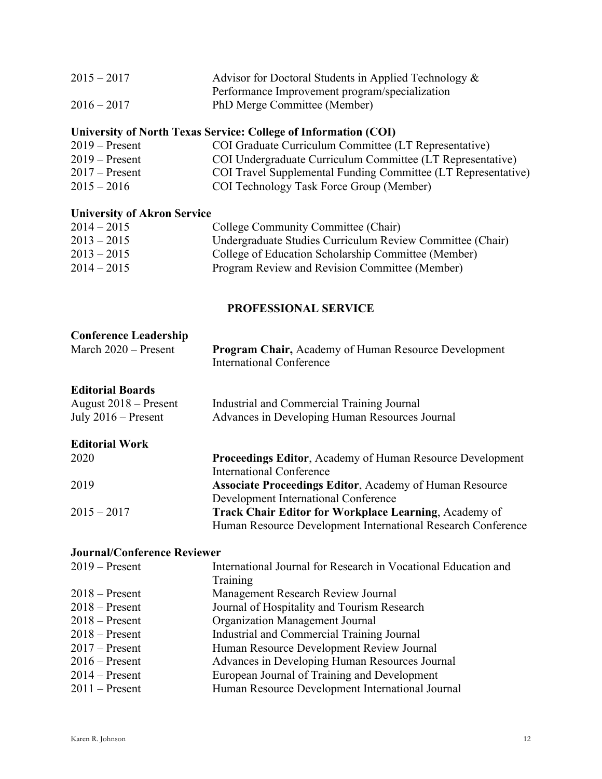| $2015 - 2017$ | Advisor for Doctoral Students in Applied Technology $\&$ |
|---------------|----------------------------------------------------------|
|               | Performance Improvement program/specialization           |
| $2016 - 2017$ | PhD Merge Committee (Member)                             |

# **University of North Texas Service: College of Information (COI)**

| $2019 -$ Present | COI Graduate Curriculum Committee (LT Representative)         |
|------------------|---------------------------------------------------------------|
| $2019 -$ Present | COI Undergraduate Curriculum Committee (LT Representative)    |
| $2017 -$ Present | COI Travel Supplemental Funding Committee (LT Representative) |
| $2015 - 2016$    | COI Technology Task Force Group (Member)                      |

# **University of Akron Service**

| $2014 - 2015$ | College Community Committee (Chair)                       |
|---------------|-----------------------------------------------------------|
| $2013 - 2015$ | Undergraduate Studies Curriculum Review Committee (Chair) |
| $2013 - 2015$ | College of Education Scholarship Committee (Member)       |
| $2014 - 2015$ | Program Review and Revision Committee (Member)            |

### **PROFESSIONAL SERVICE**

| <b>Conference Leadership</b><br>March 2020 - Present                        | <b>Program Chair, Academy of Human Resource Development</b><br><b>International Conference</b> |
|-----------------------------------------------------------------------------|------------------------------------------------------------------------------------------------|
| <b>Editorial Boards</b><br>August $2018$ – Present<br>July $2016$ – Present | Industrial and Commercial Training Journal<br>Advances in Developing Human Resources Journal   |
| <b>Editorial Work</b>                                                       |                                                                                                |
| 2020                                                                        | <b>Proceedings Editor, Academy of Human Resource Development</b>                               |
|                                                                             | International Conference                                                                       |
| 2019                                                                        | <b>Associate Proceedings Editor, Academy of Human Resource</b>                                 |
|                                                                             | Development International Conference                                                           |
| $2015 - 2017$                                                               | <b>Track Chair Editor for Workplace Learning, Academy of</b>                                   |
|                                                                             | Human Resource Development International Research Conference                                   |

# **Journal/Conference Reviewer**

| $2019 -$ Present | International Journal for Research in Vocational Education and |
|------------------|----------------------------------------------------------------|
|                  | Training                                                       |
| $2018 -$ Present | Management Research Review Journal                             |
| $2018 -$ Present | Journal of Hospitality and Tourism Research                    |
| $2018 -$ Present | Organization Management Journal                                |
| $2018 -$ Present | Industrial and Commercial Training Journal                     |
| $2017$ – Present | Human Resource Development Review Journal                      |
| $2016$ – Present | Advances in Developing Human Resources Journal                 |
| $2014 -$ Present | European Journal of Training and Development                   |
| $2011$ – Present | Human Resource Development International Journal               |
|                  |                                                                |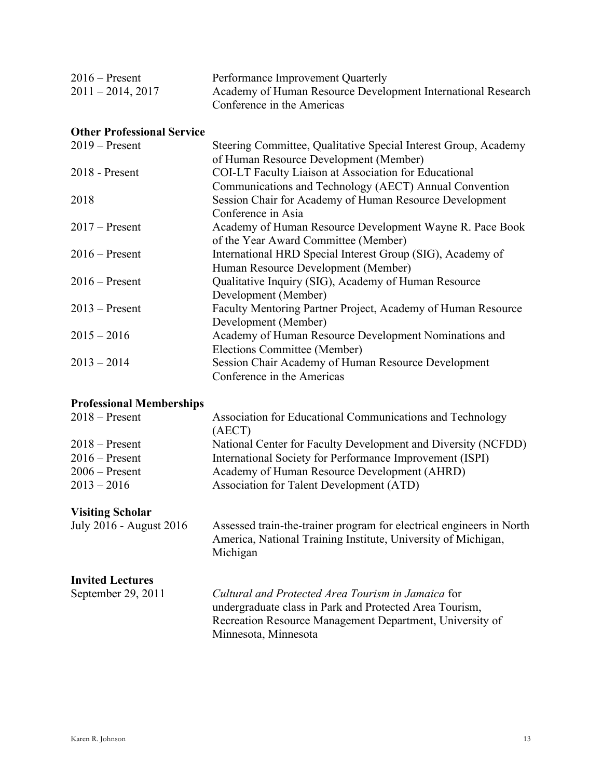| $2016$ – Present    | Performance Improvement Quarterly                            |
|---------------------|--------------------------------------------------------------|
| $2011 - 2014, 2017$ | Academy of Human Resource Development International Research |
|                     | Conference in the Americas                                   |

# **Other Professional Service**

| $2019$ – Present | Steering Committee, Qualitative Special Interest Group, Academy |
|------------------|-----------------------------------------------------------------|
|                  | of Human Resource Development (Member)                          |
| $2018$ - Present | <b>COI-LT Faculty Liaison at Association for Educational</b>    |
|                  | Communications and Technology (AECT) Annual Convention          |
| 2018             | Session Chair for Academy of Human Resource Development         |
|                  | Conference in Asia                                              |
| $2017$ – Present | Academy of Human Resource Development Wayne R. Pace Book        |
|                  | of the Year Award Committee (Member)                            |
| $2016$ – Present | International HRD Special Interest Group (SIG), Academy of      |
|                  | Human Resource Development (Member)                             |
| $2016$ – Present | Qualitative Inquiry (SIG), Academy of Human Resource            |
|                  | Development (Member)                                            |
| $2013$ – Present | Faculty Mentoring Partner Project, Academy of Human Resource    |
|                  | Development (Member)                                            |
| $2015 - 2016$    | Academy of Human Resource Development Nominations and           |
|                  | Elections Committee (Member)                                    |
| $2013 - 2014$    | Session Chair Academy of Human Resource Development             |
|                  | Conference in the Americas                                      |
|                  |                                                                 |

# **Professional Memberships**

| $2018 -$ Present | Association for Educational Communications and Technology     |
|------------------|---------------------------------------------------------------|
|                  | (AECT)                                                        |
| $2018 -$ Present | National Center for Faculty Development and Diversity (NCFDD) |
| $2016$ – Present | International Society for Performance Improvement (ISPI)      |
| $2006$ – Present | Academy of Human Resource Development (AHRD)                  |
| $2013 - 2016$    | Association for Talent Development (ATD)                      |

# **Visiting Scholar**

| July 2016 - August 2016 | Assessed train-the-trainer program for electrical engineers in North |
|-------------------------|----------------------------------------------------------------------|
|                         | America, National Training Institute, University of Michigan,        |
|                         | Michigan                                                             |

# **Invited Lectures**

| September 29, 2011 | Cultural and Protected Area Tourism in Jamaica for       |
|--------------------|----------------------------------------------------------|
|                    | undergraduate class in Park and Protected Area Tourism,  |
|                    | Recreation Resource Management Department, University of |
|                    | Minnesota, Minnesota                                     |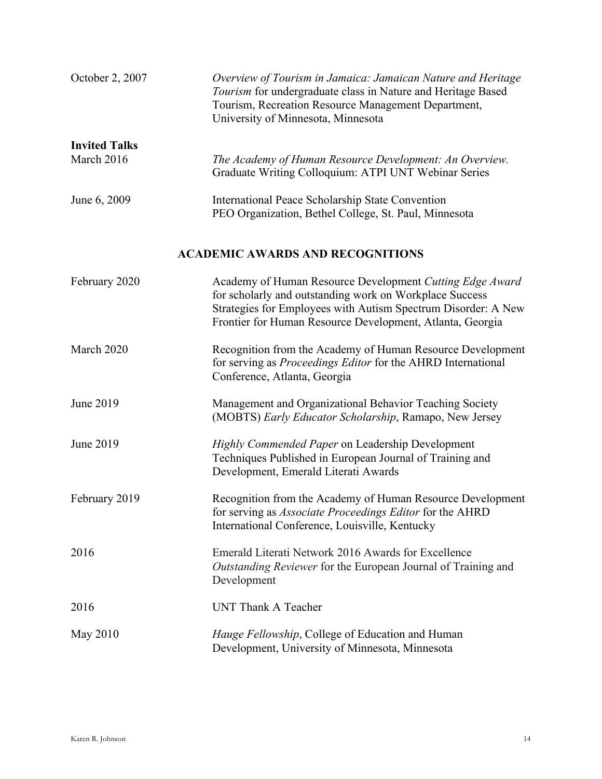| October 2, 2007      | Overview of Tourism in Jamaica: Jamaican Nature and Heritage<br>Tourism for undergraduate class in Nature and Heritage Based<br>Tourism, Recreation Resource Management Department,<br>University of Minnesota, Minnesota                         |
|----------------------|---------------------------------------------------------------------------------------------------------------------------------------------------------------------------------------------------------------------------------------------------|
| <b>Invited Talks</b> |                                                                                                                                                                                                                                                   |
| March 2016           | The Academy of Human Resource Development: An Overview.<br>Graduate Writing Colloquium: ATPI UNT Webinar Series                                                                                                                                   |
| June 6, 2009         | International Peace Scholarship State Convention<br>PEO Organization, Bethel College, St. Paul, Minnesota                                                                                                                                         |
|                      | <b>ACADEMIC AWARDS AND RECOGNITIONS</b>                                                                                                                                                                                                           |
| February 2020        | Academy of Human Resource Development Cutting Edge Award<br>for scholarly and outstanding work on Workplace Success<br>Strategies for Employees with Autism Spectrum Disorder: A New<br>Frontier for Human Resource Development, Atlanta, Georgia |
| March 2020           | Recognition from the Academy of Human Resource Development<br>for serving as <i>Proceedings Editor</i> for the AHRD International<br>Conference, Atlanta, Georgia                                                                                 |
| June 2019            | Management and Organizational Behavior Teaching Society<br>(MOBTS) Early Educator Scholarship, Ramapo, New Jersey                                                                                                                                 |
| June 2019            | Highly Commended Paper on Leadership Development<br>Techniques Published in European Journal of Training and<br>Development, Emerald Literati Awards                                                                                              |
| February 2019        | Recognition from the Academy of Human Resource Development<br>for serving as Associate Proceedings Editor for the AHRD<br>International Conference, Louisville, Kentucky                                                                          |
| 2016                 | Emerald Literati Network 2016 Awards for Excellence<br>Outstanding Reviewer for the European Journal of Training and<br>Development                                                                                                               |
| 2016                 | UNT Thank A Teacher                                                                                                                                                                                                                               |
| May 2010             | <i>Hauge Fellowship</i> , College of Education and Human<br>Development, University of Minnesota, Minnesota                                                                                                                                       |